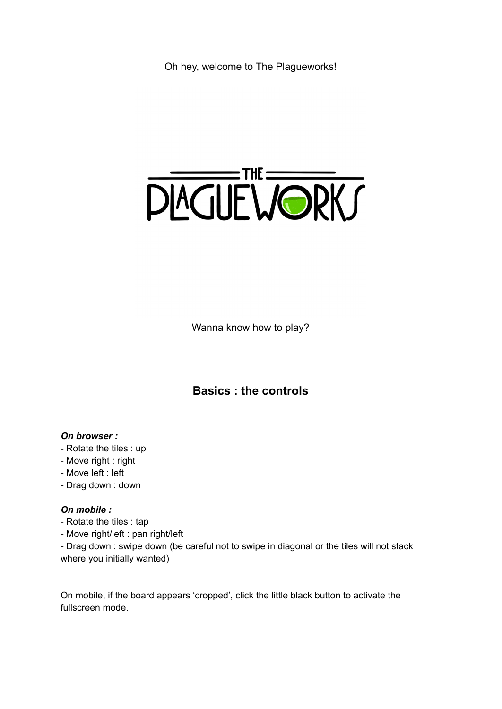Oh hey, welcome to The Plagueworks!



Wanna know how to play?

## **Basics : the controls**

## *On browser :*

- Rotate the tiles : up
- Move right : right
- Move left : left
- Drag down : down

## *On mobile :*

- Rotate the tiles : tap
- Move right/left : pan right/left

- Drag down : swipe down (be careful not to swipe in diagonal or the tiles will not stack where you initially wanted)

On mobile, if the board appears 'cropped', click the little black button to activate the fullscreen mode.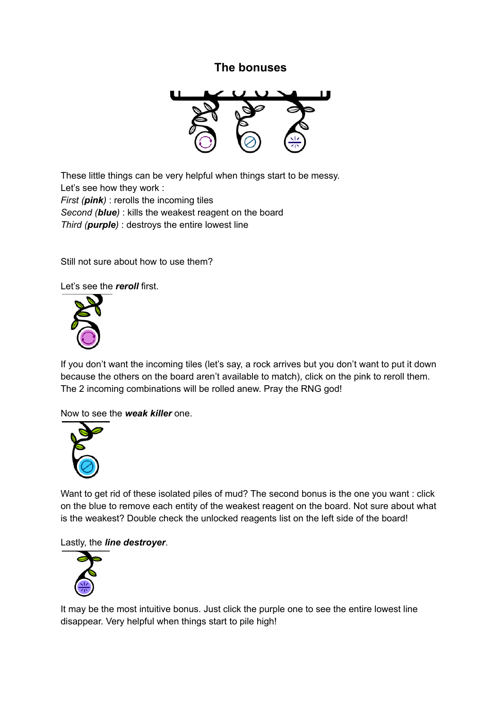## **The bonuses**



These little things can be very helpful when things start to be messy. Let's see how they work : *First (pink)* : rerolls the incoming tiles *Second (blue)* : kills the weakest reagent on the board *Third (purple)* : destroys the entire lowest line

Still not sure about how to use them?

Let's see the *reroll* first.



If you don't want the incoming tiles (let's say, a rock arrives but you don't want to put it down because the others on the board aren't available to match), click on the pink to reroll them. The 2 incoming combinations will be rolled anew. Pray the RNG god!

Now to see the *weak killer* one.



Want to get rid of these isolated piles of mud? The second bonus is the one you want : click on the blue to remove each entity of the weakest reagent on the board. Not sure about what is the weakest? Double check the unlocked reagents list on the left side of the board!

#### Lastly, the *line destroyer*.



It may be the most intuitive bonus. Just click the purple one to see the entire lowest line disappear. Very helpful when things start to pile high!